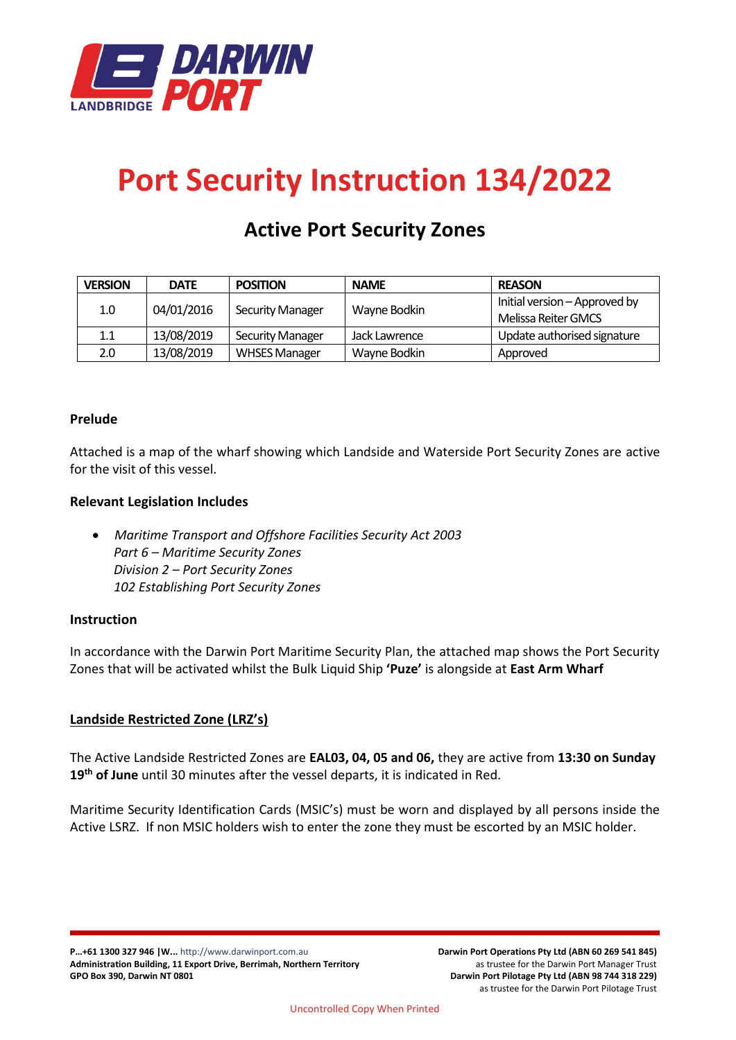

# **Port Security Instruction 134/2022**

# **Active Port Security Zones**

| <b>VERSION</b> | <b>DATE</b> | <b>POSITION</b>         | <b>NAME</b>   | <b>REASON</b>                 |
|----------------|-------------|-------------------------|---------------|-------------------------------|
| 1.0            | 04/01/2016  | <b>Security Manager</b> | Wayne Bodkin  | Initial version – Approved by |
|                |             |                         |               | Melissa Reiter GMCS           |
| 1.1            | 13/08/2019  | <b>Security Manager</b> | Jack Lawrence | Update authorised signature   |
| 2.0            | 13/08/2019  | <b>WHSES Manager</b>    | Wayne Bodkin  | Approved                      |

# **Prelude**

Attached is a map of the wharf showing which Landside and Waterside Port Security Zones are active for the visit of this vessel.

# **Relevant Legislation Includes**

• *Maritime Transport and Offshore Facilities Security Act 2003 Part 6 – Maritime Security Zones Division 2 – Port Security Zones 102 Establishing Port Security Zones*

# **Instruction**

In accordance with the Darwin Port Maritime Security Plan, the attached map shows the Port Security Zones that will be activated whilst the Bulk Liquid Ship **'Puze'** is alongside at **East Arm Wharf**

# **Landside Restricted Zone (LRZ's)**

The Active Landside Restricted Zones are **EAL03, 04, 05 and 06,** they are active from **13:30 on Sunday 19 th of June** until 30 minutes after the vessel departs, it is indicated in Red.

Maritime Security Identification Cards (MSIC's) must be worn and displayed by all persons inside the Active LSRZ. If non MSIC holders wish to enter the zone they must be escorted by an MSIC holder.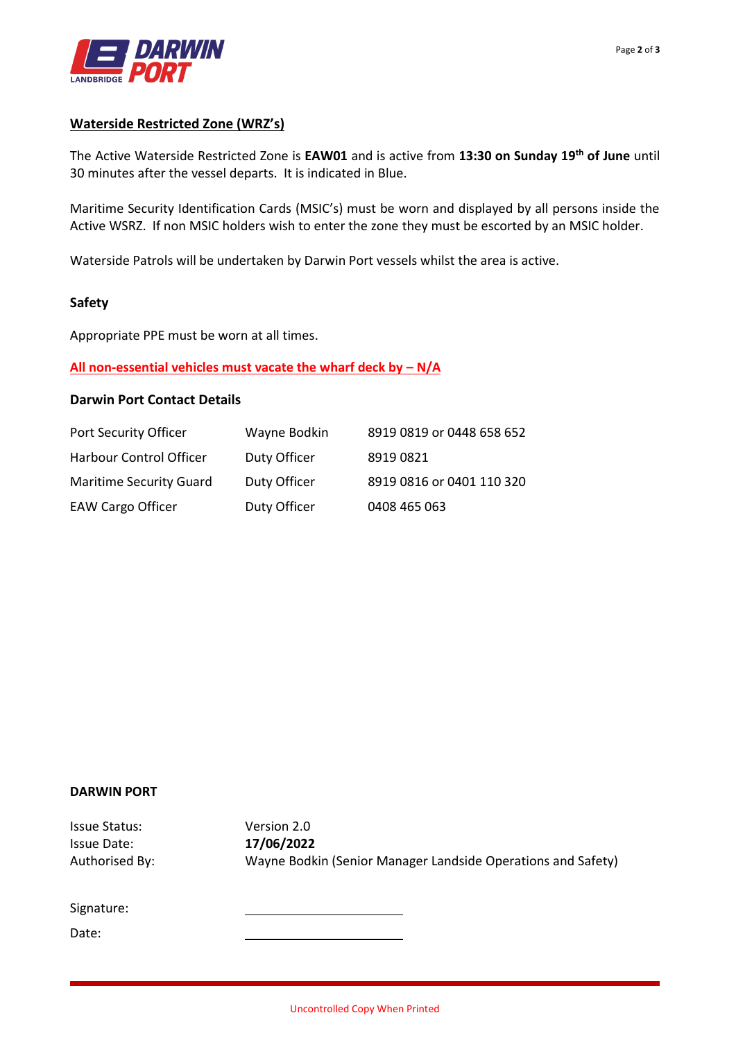

#### **Waterside Restricted Zone (WRZ's)**

The Active Waterside Restricted Zone is **EAW01** and is active from **13:30 on Sunday 19 th of June** until 30 minutes after the vessel departs. It is indicated in Blue.

Maritime Security Identification Cards (MSIC's) must be worn and displayed by all persons inside the Active WSRZ. If non MSIC holders wish to enter the zone they must be escorted by an MSIC holder.

Waterside Patrols will be undertaken by Darwin Port vessels whilst the area is active.

#### **Safety**

Appropriate PPE must be worn at all times.

#### **All non-essential vehicles must vacate the wharf deck by – N/A**

### **Darwin Port Contact Details**

| Port Security Officer          | Wayne Bodkin | 8919 0819 or 0448 658 652 |
|--------------------------------|--------------|---------------------------|
| Harbour Control Officer        | Duty Officer | 89190821                  |
| <b>Maritime Security Guard</b> | Duty Officer | 8919 0816 or 0401 110 320 |
| <b>EAW Cargo Officer</b>       | Duty Officer | 0408 465 063              |

#### **DARWIN PORT**

Issue Status: Version 2.0 Issue Date: **17/06/2022** Authorised By: Wayne Bodkin (Senior Manager Landside Operations and Safety)

Signature:

Date: